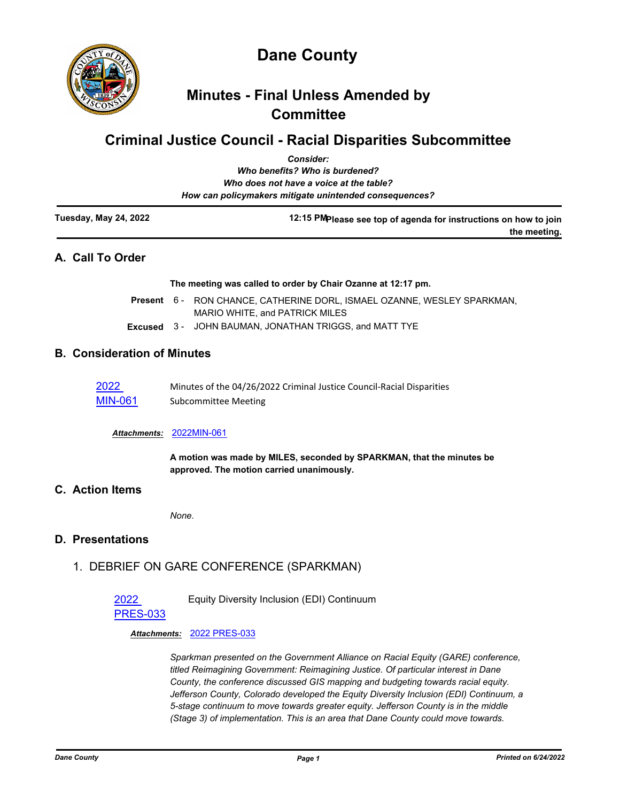

# **Minutes - Final Unless Amended by Committee**

# **Criminal Justice Council - Racial Disparities Subcommittee**

|                       | <b>Consider:</b>                                                  |
|-----------------------|-------------------------------------------------------------------|
|                       | Who benefits? Who is burdened?                                    |
|                       | Who does not have a voice at the table?                           |
|                       | How can policymakers mitigate unintended consequences?            |
| Tuesday, May 24, 2022 | 12:15 PM please see top of agenda for instructions on how to join |
|                       | the meeting.                                                      |
| A Call To Order       |                                                                   |

### **A. Call To Order**

**The meeting was called to order by Chair Ozanne at 12:17 pm.**

- Present 6 RON CHANCE, CATHERINE DORL, ISMAEL OZANNE, WESLEY SPARKMAN, MARIO WHITE, and PATRICK MILES
- **Excused** 3 JOHN BAUMAN, JONATHAN TRIGGS, and MATT TYE

### **B. Consideration of Minutes**

| 2022    | Minutes of the 04/26/2022 Criminal Justice Council-Racial Disparities |
|---------|-----------------------------------------------------------------------|
| MIN-061 | Subcommittee Meeting                                                  |

#### *Attachments:* [2022MIN-061](http://dane.legistar.com/gateway.aspx?M=F&ID=10b0ebec-7dd9-496e-b24f-ebd00b690a7b.pdf)

**A motion was made by MILES, seconded by SPARKMAN, that the minutes be approved. The motion carried unanimously.**

### **C. Action Items**

*None.*

#### **D. Presentations**

1. DEBRIEF ON GARE CONFERENCE (SPARKMAN)

# 2022

Equity Diversity Inclusion (EDI) Continuum

# [PRES-033](http://dane.legistar.com/gateway.aspx?m=l&id=/matter.aspx?key=23047)

*Attachments:* [2022 PRES-033](http://dane.legistar.com/gateway.aspx?M=F&ID=f0c2517f-f961-4e72-a954-4881ab2c3e9e.pdf)

*Sparkman presented on the Government Alliance on Racial Equity (GARE) conference, titled Reimagining Government: Reimagining Justice. Of particular interest in Dane County, the conference discussed GIS mapping and budgeting towards racial equity. Jefferson County, Colorado developed the Equity Diversity Inclusion (EDI) Continuum, a 5-stage continuum to move towards greater equity. Jefferson County is in the middle (Stage 3) of implementation. This is an area that Dane County could move towards.*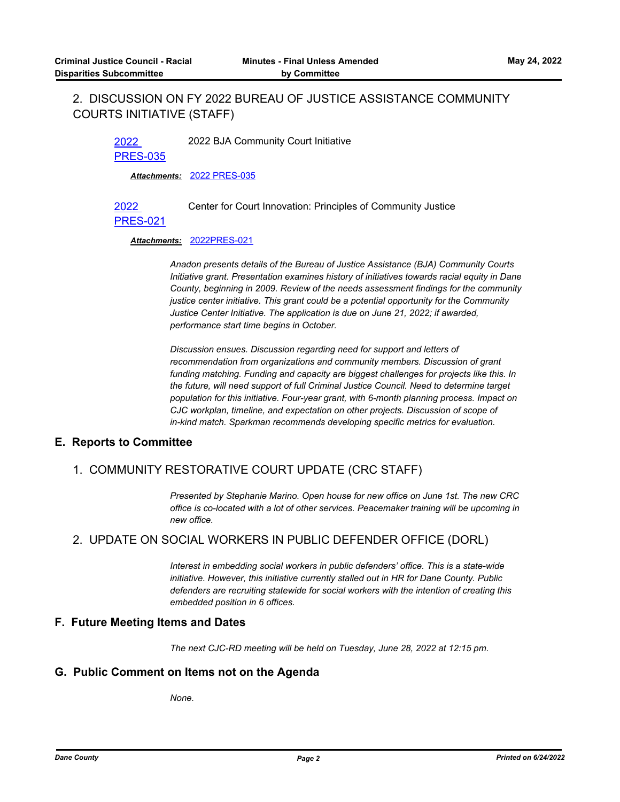# 2. DISCUSSION ON FY 2022 BUREAU OF JUSTICE ASSISTANCE COMMUNITY COURTS INITIATIVE (STAFF)

2022 2022 BJA Community Court Initiative

[PRES-035](http://dane.legistar.com/gateway.aspx?m=l&id=/matter.aspx?key=23049)

*Attachments:* [2022 PRES-035](http://dane.legistar.com/gateway.aspx?M=F&ID=f893b6df-6bd7-42ef-850f-ad53778a741b.pdf)

Center for Court Innovation: Principles of Community Justice

#### [PRES-021](http://dane.legistar.com/gateway.aspx?m=l&id=/matter.aspx?key=22917)

2022

#### *Attachments:* [2022PRES-021](http://dane.legistar.com/gateway.aspx?M=F&ID=47fc7b57-3892-47fe-b0bc-f55e8de9445b.pdf)

*Anadon presents details of the Bureau of Justice Assistance (BJA) Community Courts Initiative grant. Presentation examines history of initiatives towards racial equity in Dane County, beginning in 2009. Review of the needs assessment findings for the community justice center initiative. This grant could be a potential opportunity for the Community Justice Center Initiative. The application is due on June 21, 2022; if awarded, performance start time begins in October.* 

*Discussion ensues. Discussion regarding need for support and letters of recommendation from organizations and community members. Discussion of grant funding matching. Funding and capacity are biggest challenges for projects like this. In the future, will need support of full Criminal Justice Council. Need to determine target population for this initiative. Four-year grant, with 6-month planning process. Impact on CJC workplan, timeline, and expectation on other projects. Discussion of scope of in-kind match. Sparkman recommends developing specific metrics for evaluation.*

#### **E. Reports to Committee**

# 1. COMMUNITY RESTORATIVE COURT UPDATE (CRC STAFF)

*Presented by Stephanie Marino. Open house for new office on June 1st. The new CRC office is co-located with a lot of other services. Peacemaker training will be upcoming in new office.*

# 2. UPDATE ON SOCIAL WORKERS IN PUBLIC DEFENDER OFFICE (DORL)

*Interest in embedding social workers in public defenders' office. This is a state-wide initiative. However, this initiative currently stalled out in HR for Dane County. Public defenders are recruiting statewide for social workers with the intention of creating this embedded position in 6 offices.*

#### **F. Future Meeting Items and Dates**

*The next CJC-RD meeting will be held on Tuesday, June 28, 2022 at 12:15 pm.*

#### **G. Public Comment on Items not on the Agenda**

*None.*